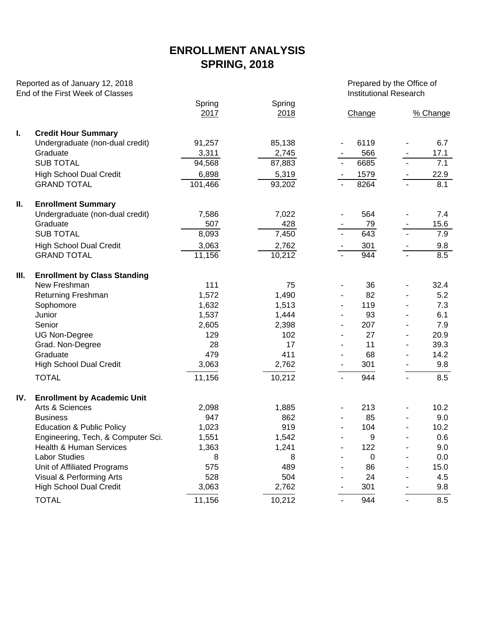## **ENROLLMENT ANALYSIS SPRING, 2018**

| Reported as of January 12, 2018<br>End of the First Week of Classes |                                      |                |                | Prepared by the Office of<br><b>Institutional Research</b> |                |          |  |  |
|---------------------------------------------------------------------|--------------------------------------|----------------|----------------|------------------------------------------------------------|----------------|----------|--|--|
|                                                                     |                                      | Spring<br>2017 | Spring<br>2018 | Change                                                     |                | % Change |  |  |
| I.                                                                  | <b>Credit Hour Summary</b>           |                |                |                                                            |                |          |  |  |
|                                                                     | Undergraduate (non-dual credit)      | 91,257         | 85,138         | 6119                                                       |                | 6.7      |  |  |
|                                                                     | Graduate                             | 3,311          | 2,745          | 566                                                        |                | 17.1     |  |  |
|                                                                     | <b>SUB TOTAL</b>                     | 94,568         | 87,883         | 6685                                                       |                | 7.1      |  |  |
|                                                                     | <b>High School Dual Credit</b>       | 6,898          | 5,319          | 1579                                                       |                | 22.9     |  |  |
|                                                                     | <b>GRAND TOTAL</b>                   | 101,466        | 93,202         | 8264                                                       |                | 8.1      |  |  |
| Ш.                                                                  | <b>Enrollment Summary</b>            |                |                |                                                            |                |          |  |  |
|                                                                     | Undergraduate (non-dual credit)      | 7,586          | 7,022          | 564                                                        |                | 7.4      |  |  |
|                                                                     | Graduate                             | 507            | 428            | 79                                                         |                | 15.6     |  |  |
|                                                                     | <b>SUB TOTAL</b>                     | 8,093          | 7,450          | 643                                                        |                | 7.9      |  |  |
|                                                                     | <b>High School Dual Credit</b>       | 3,063          | 2,762          | 301                                                        |                | 9.8      |  |  |
|                                                                     | <b>GRAND TOTAL</b>                   | 11,156         | 10,212         | 944                                                        | $\blacksquare$ | 8.5      |  |  |
| Ш.                                                                  | <b>Enrollment by Class Standing</b>  |                |                |                                                            |                |          |  |  |
|                                                                     | New Freshman                         | 111            | 75             | 36                                                         |                | 32.4     |  |  |
|                                                                     | <b>Returning Freshman</b>            | 1,572          | 1,490          | 82                                                         | ä,             | 5.2      |  |  |
|                                                                     | Sophomore                            | 1,632          | 1,513          | 119                                                        | ÷,             | 7.3      |  |  |
|                                                                     | Junior                               | 1,537          | 1,444          | 93                                                         |                | 6.1      |  |  |
|                                                                     | Senior                               | 2,605          | 2,398          | 207                                                        | ä,             | 7.9      |  |  |
|                                                                     | <b>UG Non-Degree</b>                 | 129            | 102            | 27                                                         | ÷,             | 20.9     |  |  |
|                                                                     | Grad. Non-Degree                     | 28             | 17             | 11                                                         | ÷,             | 39.3     |  |  |
|                                                                     | Graduate                             | 479            | 411            | 68                                                         | ä,             | 14.2     |  |  |
|                                                                     | <b>High School Dual Credit</b>       | 3,063          | 2,762          | 301                                                        |                | 9.8      |  |  |
|                                                                     | <b>TOTAL</b>                         | 11,156         | 10,212         | 944                                                        |                | 8.5      |  |  |
| IV.                                                                 | <b>Enrollment by Academic Unit</b>   |                |                |                                                            |                |          |  |  |
|                                                                     | Arts & Sciences                      | 2,098          | 1,885          | 213                                                        |                | 10.2     |  |  |
|                                                                     | <b>Business</b>                      | 947            | 862            | 85                                                         |                | 9.0      |  |  |
|                                                                     | <b>Education &amp; Public Policy</b> | 1,023          | 919            | 104                                                        |                | 10.2     |  |  |
|                                                                     | Engineering, Tech, & Computer Sci.   | 1,551          | 1,542          | 9                                                          |                | 0.6      |  |  |
|                                                                     | Health & Human Services              | 1,363          | 1,241          | 122                                                        |                | 9.0      |  |  |
|                                                                     | <b>Labor Studies</b>                 | 8              | 8              | $\mathbf 0$                                                |                | 0.0      |  |  |
|                                                                     | Unit of Affiliated Programs          | 575            | 489            | 86                                                         |                | 15.0     |  |  |
|                                                                     | Visual & Performing Arts             | 528            | 504            | 24                                                         |                | 4.5      |  |  |
|                                                                     | <b>High School Dual Credit</b>       | 3,063          | 2,762          | 301                                                        |                | 9.8      |  |  |
|                                                                     | <b>TOTAL</b>                         | 11,156         | 10,212         | 944<br>$\overline{\phantom{a}}$                            | $\blacksquare$ | 8.5      |  |  |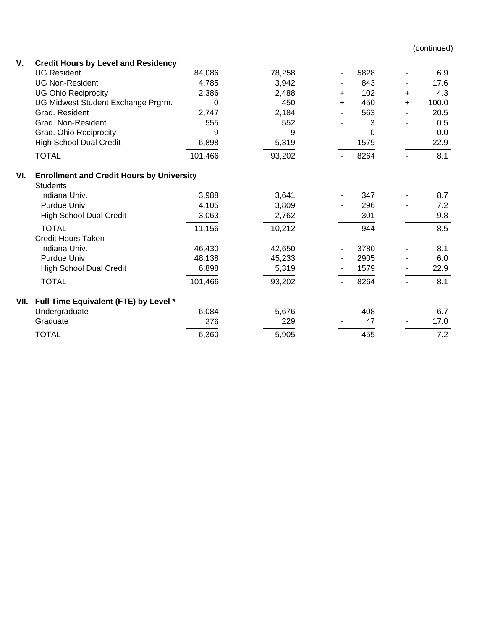## (continued)

| V.   | <b>Credit Hours by Level and Residency</b>       |         |        |                |             |                          |            |  |  |  |  |  |  |
|------|--------------------------------------------------|---------|--------|----------------|-------------|--------------------------|------------|--|--|--|--|--|--|
|      | <b>UG Resident</b>                               | 84,086  | 78,258 |                | 5828<br>843 |                          | 6.9        |  |  |  |  |  |  |
|      | <b>UG Non-Resident</b>                           | 4,785   | 3,942  |                |             |                          | 17.6       |  |  |  |  |  |  |
|      | <b>UG Ohio Reciprocity</b>                       | 2,386   | 2,488  | ÷.             | 102         | $\ddot{}$                | 4.3        |  |  |  |  |  |  |
|      | UG Midwest Student Exchange Prgrm.               | 0       | 450    | $\ddot{}$      | 450         | $\ddot{}$                | 100.0      |  |  |  |  |  |  |
|      | Grad, Resident                                   | 2,747   | 2,184  | ٠              | 563         | -                        | 20.5       |  |  |  |  |  |  |
|      | Grad. Non-Resident                               | 555     | 552    |                | 3           |                          | 0.5        |  |  |  |  |  |  |
|      | Grad. Ohio Reciprocity                           | 9       | 9      |                | 0           |                          | 0.0        |  |  |  |  |  |  |
|      | <b>High School Dual Credit</b>                   | 6,898   | 5,319  | $\blacksquare$ | 1579        | $\overline{\phantom{0}}$ | 22.9       |  |  |  |  |  |  |
|      | <b>TOTAL</b>                                     | 101,466 | 93,202 |                | 8264        |                          | 8.1        |  |  |  |  |  |  |
| VI.  | <b>Enrollment and Credit Hours by University</b> |         |        |                |             |                          |            |  |  |  |  |  |  |
|      | <b>Students</b>                                  |         |        |                |             |                          |            |  |  |  |  |  |  |
|      | Indiana Univ.                                    | 3,988   | 3,641  |                | 347<br>296  |                          | 8.7<br>7.2 |  |  |  |  |  |  |
|      | Purdue Univ.                                     | 4,105   | 3,809  |                |             |                          |            |  |  |  |  |  |  |
|      | <b>High School Dual Credit</b>                   | 3,063   | 2,762  |                | 301         |                          | 9.8        |  |  |  |  |  |  |
|      | <b>TOTAL</b>                                     | 11,156  | 10,212 |                | 944         |                          | 8.5        |  |  |  |  |  |  |
|      | <b>Credit Hours Taken</b>                        |         |        |                |             |                          |            |  |  |  |  |  |  |
|      | Indiana Univ.                                    | 46,430  | 42,650 |                | 3780        | -                        | 8.1        |  |  |  |  |  |  |
|      | Purdue Univ.                                     | 48,138  | 45,233 |                | 2905        |                          | 6.0        |  |  |  |  |  |  |
|      | <b>High School Dual Credit</b>                   | 6,898   | 5,319  |                | 1579        |                          | 22.9       |  |  |  |  |  |  |
|      | <b>TOTAL</b>                                     | 101,466 | 93,202 |                | 8264        |                          | 8.1        |  |  |  |  |  |  |
| VII. | Full Time Equivalent (FTE) by Level *            |         |        |                |             |                          |            |  |  |  |  |  |  |
|      | Undergraduate                                    | 6,084   | 5,676  |                | 408         |                          | 6.7        |  |  |  |  |  |  |
|      | Graduate                                         | 276     | 229    |                | 47          |                          | 17.0       |  |  |  |  |  |  |
|      | <b>TOTAL</b>                                     | 6,360   | 5,905  |                | 455         |                          | 7.2        |  |  |  |  |  |  |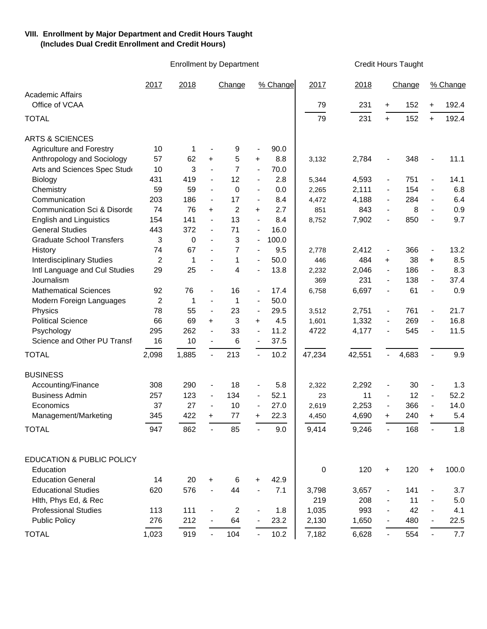## **VIII. Enrollment by Major Department and Credit Hours Taught (Includes Dual Credit Enrollment and Credit Hours)**

Enrollment by Department Credit Hours Taught

|                                                          | 2017                 | 2018     | Change                                               |                | % Change                                             |               | 2017          | 2018         | Change                           |           | % Change                         |             |
|----------------------------------------------------------|----------------------|----------|------------------------------------------------------|----------------|------------------------------------------------------|---------------|---------------|--------------|----------------------------------|-----------|----------------------------------|-------------|
| <b>Academic Affairs</b><br>Office of VCAA                |                      |          |                                                      |                |                                                      |               | 79            | 231          | $\ddot{}$                        | 152       | $\pm$                            | 192.4       |
| <b>TOTAL</b>                                             |                      |          |                                                      |                |                                                      |               | 79            | 231          | $+$                              | 152       | $+$                              | 192.4       |
|                                                          |                      |          |                                                      |                |                                                      |               |               |              |                                  |           |                                  |             |
| <b>ARTS &amp; SCIENCES</b>                               |                      |          |                                                      |                |                                                      |               |               |              |                                  |           |                                  |             |
| Agriculture and Forestry                                 | 10                   | 1        |                                                      | 9              |                                                      | 90.0          |               |              |                                  |           |                                  |             |
| Anthropology and Sociology                               | 57                   | 62       | +                                                    | 5              | $\ddot{}$                                            | 8.8           | 3,132         | 2,784        | $\overline{\phantom{a}}$         | 348       |                                  | 11.1        |
| Arts and Sciences Spec Stude                             | 10<br>431            | 3<br>419 | $\overline{\phantom{a}}$                             | 7<br>12        | $\overline{\phantom{a}}$                             | 70.0<br>2.8   |               |              |                                  | 751       |                                  | 14.1        |
| Biology                                                  | 59                   | 59       | $\overline{\phantom{a}}$<br>$\overline{\phantom{a}}$ | $\mathbf 0$    | $\overline{\phantom{a}}$<br>$\overline{\phantom{a}}$ | 0.0           | 5,344         | 4,593        | $\blacksquare$                   | 154       | $\blacksquare$<br>$\blacksquare$ | 6.8         |
| Chemistry                                                | 203                  | 186      |                                                      | 17             |                                                      | 8.4           | 2,265         | 2,111        | $\qquad \qquad \blacksquare$     | 284       | $\overline{\phantom{a}}$         | 6.4         |
| Communication<br>Communication Sci & Disorde             | 74                   | 76       | $\overline{\phantom{a}}$                             | $\overline{2}$ | $\blacksquare$                                       | 2.7           | 4,472         | 4,188<br>843 | $\blacksquare$                   |           | $\blacksquare$                   | 0.9         |
|                                                          |                      |          | $\ddot{}$                                            | 13             | +                                                    |               | 851           |              | $\overline{\phantom{a}}$         | 8         |                                  | 9.7         |
| <b>English and Linguistics</b><br><b>General Studies</b> | 154                  | 141      | $\overline{\phantom{a}}$                             | 71             | $\overline{\phantom{a}}$                             | 8.4           | 8,752         | 7,902        | $\overline{\phantom{a}}$         | 850       | $\overline{\phantom{a}}$         |             |
| <b>Graduate School Transfers</b>                         | 443                  | 372      |                                                      |                | $\overline{\phantom{a}}$                             | 16.0<br>100.0 |               |              |                                  |           |                                  |             |
|                                                          | 3                    | 0        | $\overline{\phantom{a}}$                             | 3              | $\overline{\phantom{a}}$                             |               |               |              |                                  |           |                                  |             |
| History                                                  | 74                   | 67       |                                                      | 7              | $\overline{\phantom{a}}$                             | 9.5           | 2,778         | 2,412        | $\blacksquare$                   | 366       |                                  | 13.2        |
| <b>Interdisciplinary Studies</b>                         | $\overline{c}$<br>29 | 1        | $\blacksquare$                                       | 1<br>4         | $\overline{\phantom{a}}$                             | 50.0<br>13.8  | 446           | 484          | $\ddot{}$                        | 38<br>186 | $+$<br>$\blacksquare$            | 8.5<br>8.3  |
| Intl Language and Cul Studies                            |                      | 25       |                                                      |                | $\overline{\phantom{a}}$                             |               | 2,232         | 2,046        | $\blacksquare$                   |           |                                  |             |
| Journalism<br><b>Mathematical Sciences</b>               |                      |          |                                                      |                |                                                      |               | 369           | 231          | $\overline{\phantom{a}}$         | 138       | $\overline{\phantom{a}}$         | 37.4<br>0.9 |
|                                                          | 92                   | 76       | $\overline{\phantom{a}}$                             | 16             | $\blacksquare$                                       | 17.4          | 6,758         | 6,697        | $\qquad \qquad \blacksquare$     | 61        | $\overline{a}$                   |             |
| Modern Foreign Languages                                 | 2<br>78              | 1<br>55  | $\overline{\phantom{a}}$                             | 1<br>23        | $\blacksquare$                                       | 50.0<br>29.5  |               |              |                                  | 761       |                                  | 21.7        |
| Physics<br><b>Political Science</b>                      | 66                   | 69       | $\overline{\phantom{a}}$                             | 3              | $\blacksquare$                                       | 4.5           | 3,512         | 2,751        | $\blacksquare$<br>$\blacksquare$ | 269       | $\blacksquare$<br>$\blacksquare$ | 16.8        |
|                                                          |                      | 262      | $\ddot{}$<br>$\overline{\phantom{a}}$                | 33             | +                                                    | 11.2          | 1,601<br>4722 | 1,332        |                                  | 545       | $\blacksquare$                   | 11.5        |
| Psychology<br>Science and Other PU Transfi               | 295<br>16            | 10       |                                                      | 6              | $\blacksquare$                                       |               |               | 4,177        | $\overline{\phantom{a}}$         |           |                                  |             |
|                                                          |                      |          | $\overline{\phantom{a}}$                             |                | $\blacksquare$                                       | 37.5          |               |              |                                  |           |                                  |             |
| <b>TOTAL</b>                                             | 2,098                | 1,885    | $\overline{\phantom{a}}$                             | 213            |                                                      | 10.2          | 47,234        | 42,551       |                                  | 4,683     |                                  | 9.9         |
| <b>BUSINESS</b>                                          |                      |          |                                                      |                |                                                      |               |               |              |                                  |           |                                  |             |
| Accounting/Finance                                       | 308                  | 290      | $\overline{\phantom{a}}$                             | 18             | $\blacksquare$                                       | 5.8           | 2,322         | 2,292        | $\blacksquare$                   | 30        | $\overline{\phantom{a}}$         | 1.3         |
| <b>Business Admin</b>                                    | 257                  | 123      | $\overline{\phantom{a}}$                             | 134            | $\overline{\phantom{a}}$                             | 52.1          | 23            | 11           | $\overline{\phantom{a}}$         | 12        | $\overline{\phantom{a}}$         | 52.2        |
| Economics                                                | 37                   | 27       | $\overline{\phantom{a}}$                             | 10             | $\blacksquare$                                       | 27.0          | 2,619         | 2,253        | $\blacksquare$                   | 366       | $\blacksquare$                   | 14.0        |
| Management/Marketing                                     | 345                  | 422      | $+$                                                  | 77             | $\pm$                                                | 22.3          | 4,450         | 4,690        | $\pm$                            | 240       | $\pm$                            | 5.4         |
| <b>TOTAL</b>                                             | 947                  | 862      | $\overline{\phantom{a}}$                             | 85             | $\overline{\phantom{0}}$                             | 9.0           | 9,414         | 9,246        | $\overline{\phantom{a}}$         | 168       | $\overline{\phantom{a}}$         | 1.8         |
|                                                          |                      |          |                                                      |                |                                                      |               |               |              |                                  |           |                                  |             |
| <b>EDUCATION &amp; PUBLIC POLICY</b><br>Education        |                      |          |                                                      |                |                                                      |               | $\pmb{0}$     | 120          | $\ddot{}$                        | 120       | $+$                              | 100.0       |
| <b>Education General</b>                                 | 14                   | 20       | $+$                                                  | 6              | $\ddot{}$                                            | 42.9          |               |              |                                  |           |                                  |             |
| <b>Educational Studies</b>                               | 620                  | 576      |                                                      | 44             |                                                      | 7.1           | 3,798         | 3,657        |                                  | 141       |                                  | 3.7         |
| Hith, Phys Ed, & Rec                                     |                      |          |                                                      |                |                                                      |               | 219           | 208          |                                  | 11        |                                  | 5.0         |
| <b>Professional Studies</b>                              | 113                  | 111      | $\overline{\phantom{a}}$                             | $\overline{2}$ |                                                      | 1.8           | 1,035         | 993          |                                  | 42        | $\blacksquare$                   | 4.1         |
| <b>Public Policy</b>                                     | 276                  | 212      |                                                      | 64             |                                                      | 23.2          | 2,130         | 1,650        |                                  | 480       | $\blacksquare$                   | 22.5        |
| <b>TOTAL</b>                                             | 1,023                | 919      | $\blacksquare$                                       | 104            |                                                      | 10.2          | 7,182         | 6,628        | $\blacksquare$                   | 554       | $\blacksquare$                   | 7.7         |